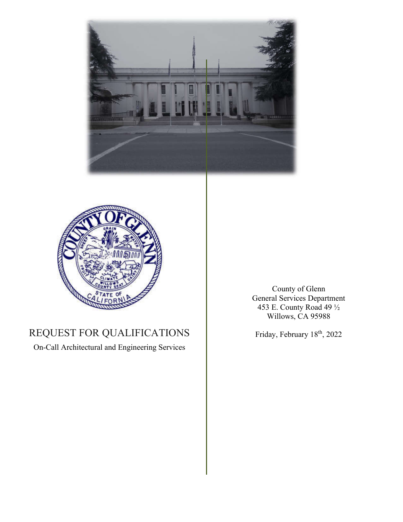



### REQUEST FOR QUALIFICATIONS

On-Call Architectural and Engineering Services

County of Glenn General Services Department 453 E. County Road 49 ½ Willows, CA 95988

Friday, February 18th, 2022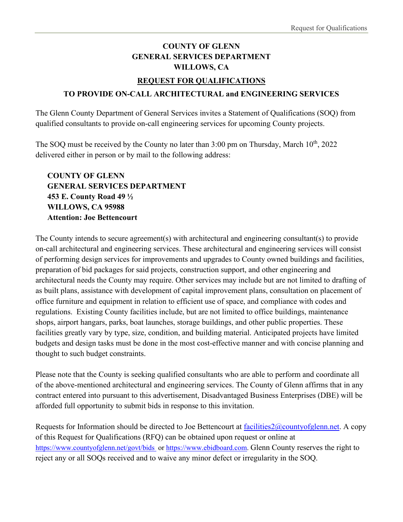### **COUNTY OF GLENN GENERAL SERVICES DEPARTMENT WILLOWS, CA**

#### **REQUEST FOR QUALIFICATIONS**

#### **TO PROVIDE ON-CALL ARCHITECTURAL and ENGINEERING SERVICES**

The Glenn County Department of General Services invites a Statement of Qualifications (SOQ) from qualified consultants to provide on-call engineering services for upcoming County projects.

The SOQ must be received by the County no later than  $3:00$  pm on Thursday, March  $10^{th}$ ,  $2022$ delivered either in person or by mail to the following address:

**COUNTY OF GLENN GENERAL SERVICES DEPARTMENT 453 E. County Road 49 ½ WILLOWS, CA 95988 Attention: Joe Bettencourt**

The County intends to secure agreement(s) with architectural and engineering consultant(s) to provide on-call architectural and engineering services. These architectural and engineering services will consist of performing design services for improvements and upgrades to County owned buildings and facilities, preparation of bid packages for said projects, construction support, and other engineering and architectural needs the County may require. Other services may include but are not limited to drafting of as built plans, assistance with development of capital improvement plans, consultation on placement of office furniture and equipment in relation to efficient use of space, and compliance with codes and regulations. Existing County facilities include, but are not limited to office buildings, maintenance shops, airport hangars, parks, boat launches, storage buildings, and other public properties. These facilities greatly vary by type, size, condition, and building material. Anticipated projects have limited budgets and design tasks must be done in the most cost-effective manner and with concise planning and thought to such budget constraints.

Please note that the County is seeking qualified consultants who are able to perform and coordinate all of the above-mentioned architectural and engineering services. The County of Glenn affirms that in any contract entered into pursuant to this advertisement, Disadvantaged Business Enterprises (DBE) will be afforded full opportunity to submit bids in response to this invitation.

Requests for Information should be directed to Joe Bettencourt at  $facilities2@countyofglenn.net$ . A copy of this Request for Qualifications (RFQ) can be obtained upon request or online at https://www.countyofglenn.net/govt/bids or https://www.ebidboard.com. Glenn County reserves the right to reject any or all SOQs received and to waive any minor defect or irregularity in the SOQ.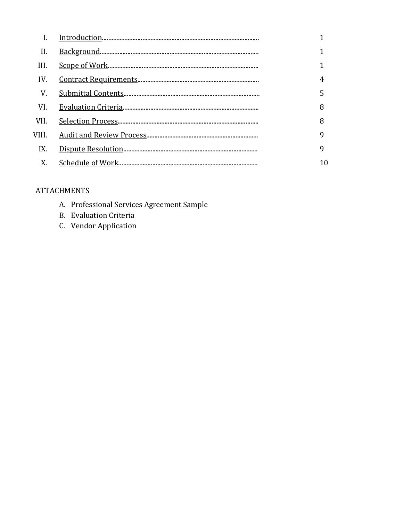| 4  |
|----|
| 5  |
| 8  |
| 8  |
| 9  |
| 9  |
| 10 |
|    |

#### **ATTACHMENTS**

- A. Professional Services Agreement Sample
- **B.** Evaluation Criteria
- C. Vendor Application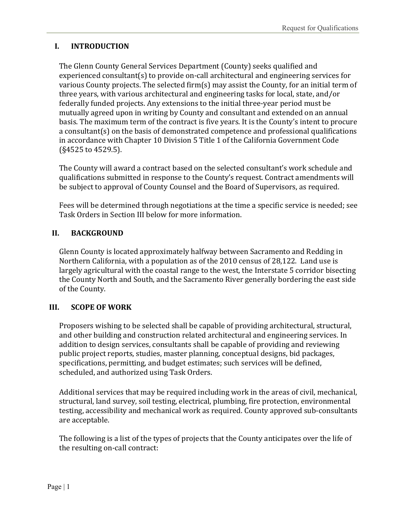#### **I. INTRODUCTION**

The Glenn County General Services Department (County) seeks qualified and experienced consultant(s) to provide on-call architectural and engineering services for various County projects. The selected firm(s) may assist the County, for an initial term of three years, with various architectural and engineering tasks for local, state, and/or federally funded projects. Any extensions to the initial three-year period must be mutually agreed upon in writing by County and consultant and extended on an annual basis. The maximum term of the contract is five years. It is the County's intent to procure a consultant(s) on the basis of demonstrated competence and professional qualifications in accordance with Chapter 10 Division 5 Title 1 of the California Government Code (§4525 to 4529.5).

The County will award a contract based on the selected consultant's work schedule and qualifications submitted in response to the County's request. Contract amendments will be subject to approval of County Counsel and the Board of Supervisors, as required.

Fees will be determined through negotiations at the time a specific service is needed; see Task Orders in Section III below for more information.

#### **II. BACKGROUND**

Glenn County is located approximately halfway between Sacramento and Redding in Northern California, with a population as of the 2010 census of 28,122. Land use is largely agricultural with the coastal range to the west, the Interstate 5 corridor bisecting the County North and South, and the Sacramento River generally bordering the east side of the County.

#### **III. SCOPE OF WORK**

Proposers wishing to be selected shall be capable of providing architectural, structural, and other building and construction related architectural and engineering services. In addition to design services, consultants shall be capable of providing and reviewing public project reports, studies, master planning, conceptual designs, bid packages, specifications, permitting, and budget estimates; such services will be defined, scheduled, and authorized using Task Orders.

Additional services that may be required including work in the areas of civil, mechanical, structural, land survey, soil testing, electrical, plumbing, fire protection, environmental testing, accessibility and mechanical work as required. County approved sub-consultants are acceptable.

The following is a list of the types of projects that the County anticipates over the life of the resulting on-call contract: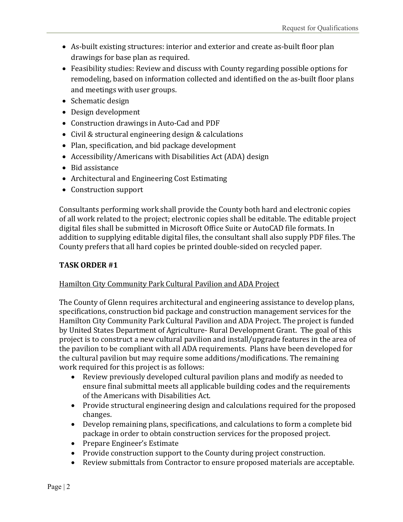- As-built existing structures: interior and exterior and create as-built floor plan drawings for base plan as required.
- Feasibility studies: Review and discuss with County regarding possible options for remodeling, based on information collected and identified on the as-built floor plans and meetings with user groups.
- Schematic design
- Design development
- Construction drawings in Auto-Cad and PDF
- Civil & structural engineering design & calculations
- Plan, specification, and bid package development
- Accessibility/Americans with Disabilities Act (ADA) design
- Bid assistance
- Architectural and Engineering Cost Estimating
- Construction support

Consultants performing work shall provide the County both hard and electronic copies of all work related to the project; electronic copies shall be editable. The editable project digital files shall be submitted in Microsoft Office Suite or AutoCAD file formats. In addition to supplying editable digital files, the consultant shall also supply PDF files. The County prefers that all hard copies be printed double-sided on recycled paper.

#### **TASK ORDER #1**

#### Hamilton City Community Park Cultural Pavilion and ADA Project

The County of Glenn requires architectural and engineering assistance to develop plans, specifications, construction bid package and construction management services for the Hamilton City Community Park Cultural Pavilion and ADA Project. The project is funded by United States Department of Agriculture- Rural Development Grant. The goal of this project is to construct a new cultural pavilion and install/upgrade features in the area of the pavilion to be compliant with all ADA requirements. Plans have been developed for the cultural pavilion but may require some additions/modifications. The remaining work required for this project is as follows:

- Review previously developed cultural pavilion plans and modify as needed to ensure final submittal meets all applicable building codes and the requirements of the Americans with Disabilities Act.
- Provide structural engineering design and calculations required for the proposed changes.
- Develop remaining plans, specifications, and calculations to form a complete bid package in order to obtain construction services for the proposed project.
- Prepare Engineer's Estimate
- Provide construction support to the County during project construction.
- Review submittals from Contractor to ensure proposed materials are acceptable.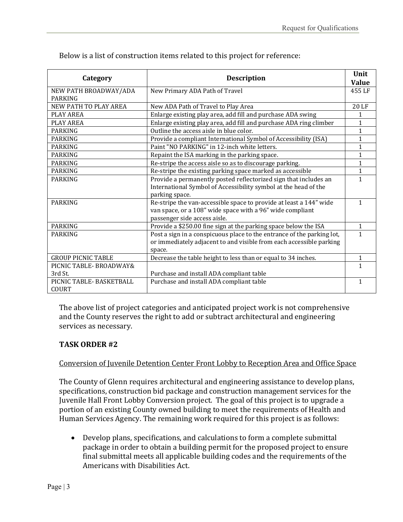| Category                  | <b>Description</b>                                                     | Unit<br><b>Value</b> |
|---------------------------|------------------------------------------------------------------------|----------------------|
| NEW PATH BROADWAY/ADA     | New Primary ADA Path of Travel                                         | 455 LF               |
| <b>PARKING</b>            |                                                                        |                      |
| NEW PATH TO PLAY AREA     | New ADA Path of Travel to Play Area                                    | 20 LF                |
| PLAY AREA                 | Enlarge existing play area, add fill and purchase ADA swing            | $\mathbf{1}$         |
| PLAY AREA                 | Enlarge existing play area, add fill and purchase ADA ring climber     | 1                    |
| <b>PARKING</b>            | Outline the access aisle in blue color.                                | $\mathbf{1}$         |
| PARKING                   | Provide a compliant International Symbol of Accessibility (ISA)        | $\mathbf{1}$         |
| <b>PARKING</b>            | Paint "NO PARKING" in 12-inch white letters.                           | 1                    |
| PARKING                   | Repaint the ISA marking in the parking space.                          | $\mathbf{1}$         |
| <b>PARKING</b>            | Re-stripe the access aisle so as to discourage parking.                | $\mathbf{1}$         |
| <b>PARKING</b>            | Re-stripe the existing parking space marked as accessible              | 1                    |
| <b>PARKING</b>            | Provide a permanently posted reflectorized sign that includes an       | 1                    |
|                           | International Symbol of Accessibility symbol at the head of the        |                      |
|                           | parking space.                                                         |                      |
| <b>PARKING</b>            | Re-stripe the van-accessible space to provide at least a 144" wide     | 1                    |
|                           | van space, or a 108" wide space with a 96" wide compliant              |                      |
|                           | passenger side access aisle.                                           |                      |
| PARKING                   | Provide a \$250.00 fine sign at the parking space below the ISA        | $\mathbf{1}$         |
| PARKING                   | Post a sign in a conspicuous place to the entrance of the parking lot, | 1                    |
|                           | or immediately adjacent to and visible from each accessible parking    |                      |
|                           | space.                                                                 |                      |
| <b>GROUP PICNIC TABLE</b> | Decrease the table height to less than or equal to 34 inches.          | $\mathbf{1}$         |
| PICNIC TABLE- BROADWAY&   |                                                                        | 1                    |
| 3rd St.                   | Purchase and install ADA compliant table                               |                      |
| PICNIC TABLE- BASKETBALL  | Purchase and install ADA compliant table                               | 1                    |
| COURT                     |                                                                        |                      |

The above list of project categories and anticipated project work is not comprehensive and the County reserves the right to add or subtract architectural and engineering services as necessary.

#### **TASK ORDER #2**

#### Conversion of Juvenile Detention Center Front Lobby to Reception Area and Office Space

The County of Glenn requires architectural and engineering assistance to develop plans, specifications, construction bid package and construction management services for the Juvenile Hall Front Lobby Conversion project. The goal of this project is to upgrade a portion of an existing County owned building to meet the requirements of Health and Human Services Agency. The remaining work required for this project is as follows:

 Develop plans, specifications, and calculations to form a complete submittal package in order to obtain a building permit for the proposed project to ensure final submittal meets all applicable building codes and the requirements of the Americans with Disabilities Act.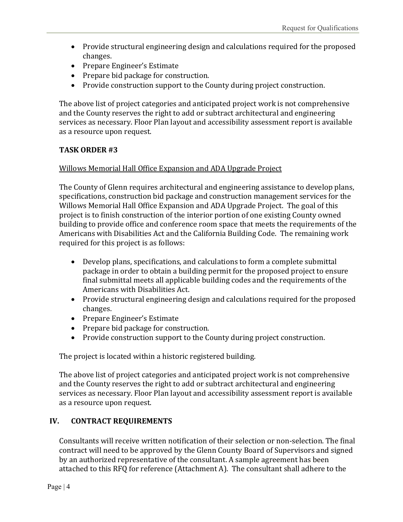- Provide structural engineering design and calculations required for the proposed changes.
- Prepare Engineer's Estimate
- Prepare bid package for construction.
- Provide construction support to the County during project construction.

The above list of project categories and anticipated project work is not comprehensive and the County reserves the right to add or subtract architectural and engineering services as necessary. Floor Plan layout and accessibility assessment report is available as a resource upon request.

#### **TASK ORDER #3**

#### Willows Memorial Hall Office Expansion and ADA Upgrade Project

The County of Glenn requires architectural and engineering assistance to develop plans, specifications, construction bid package and construction management services for the Willows Memorial Hall Office Expansion and ADA Upgrade Project. The goal of this project is to finish construction of the interior portion of one existing County owned building to provide office and conference room space that meets the requirements of the Americans with Disabilities Act and the California Building Code. The remaining work required for this project is as follows:

- Develop plans, specifications, and calculations to form a complete submittal package in order to obtain a building permit for the proposed project to ensure final submittal meets all applicable building codes and the requirements of the Americans with Disabilities Act.
- Provide structural engineering design and calculations required for the proposed changes.
- Prepare Engineer's Estimate
- Prepare bid package for construction.
- Provide construction support to the County during project construction.

The project is located within a historic registered building.

The above list of project categories and anticipated project work is not comprehensive and the County reserves the right to add or subtract architectural and engineering services as necessary. Floor Plan layout and accessibility assessment report is available as a resource upon request.

#### **IV. CONTRACT REQUIREMENTS**

Consultants will receive written notification of their selection or non-selection. The final contract will need to be approved by the Glenn County Board of Supervisors and signed by an authorized representative of the consultant. A sample agreement has been attached to this RFQ for reference (Attachment A). The consultant shall adhere to the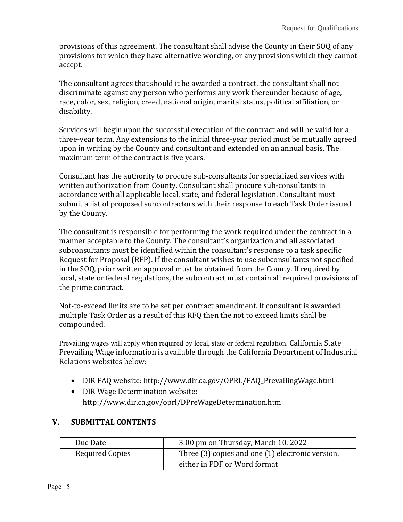provisions of this agreement. The consultant shall advise the County in their SOQ of any provisions for which they have alternative wording, or any provisions which they cannot accept.

The consultant agrees that should it be awarded a contract, the consultant shall not discriminate against any person who performs any work thereunder because of age, race, color, sex, religion, creed, national origin, marital status, political affiliation, or disability.

Services will begin upon the successful execution of the contract and will be valid for a three-year term. Any extensions to the initial three-year period must be mutually agreed upon in writing by the County and consultant and extended on an annual basis. The maximum term of the contract is five years.

Consultant has the authority to procure sub-consultants for specialized services with written authorization from County. Consultant shall procure sub-consultants in accordance with all applicable local, state, and federal legislation. Consultant must submit a list of proposed subcontractors with their response to each Task Order issued by the County.

The consultant is responsible for performing the work required under the contract in a manner acceptable to the County. The consultant's organization and all associated subconsultants must be identified within the consultant's response to a task specific Request for Proposal (RFP). If the consultant wishes to use subconsultants not specified in the SOQ, prior written approval must be obtained from the County. If required by local, state or federal regulations, the subcontract must contain all required provisions of the prime contract.

Not-to-exceed limits are to be set per contract amendment. If consultant is awarded multiple Task Order as a result of this RFQ then the not to exceed limits shall be compounded.

Prevailing wages will apply when required by local, state or federal regulation. California State Prevailing Wage information is available through the California Department of Industrial Relations websites below:

- DIR FAQ website: http://www.dir.ca.gov/OPRL/FAQ\_PrevailingWage.html
- DIR Wage Determination website: http://www.dir.ca.gov/oprl/DPreWageDetermination.htm

#### **V. SUBMITTAL CONTENTS**

| Due Date                                                                   | 3:00 pm on Thursday, March 10, 2022 |
|----------------------------------------------------------------------------|-------------------------------------|
| <b>Required Copies</b><br>Three (3) copies and one (1) electronic version, |                                     |
|                                                                            | either in PDF or Word format        |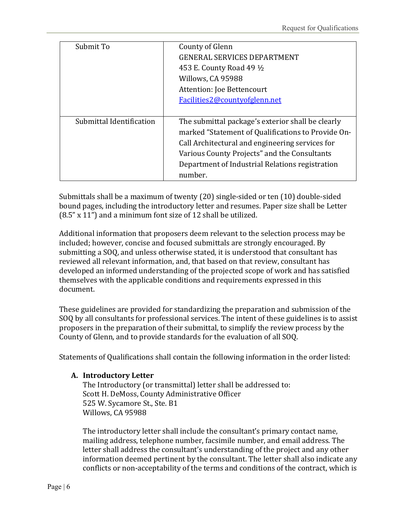| Submit To                | County of Glenn<br><b>GENERAL SERVICES DEPARTMENT</b><br>453 E. County Road 49 ½<br>Willows, CA 95988<br>Attention: Joe Bettencourt<br>Facilities2@countyofglenn.net                                                                                                     |
|--------------------------|--------------------------------------------------------------------------------------------------------------------------------------------------------------------------------------------------------------------------------------------------------------------------|
| Submittal Identification | The submittal package's exterior shall be clearly<br>marked "Statement of Qualifications to Provide On-<br>Call Architectural and engineering services for<br>Various County Projects" and the Consultants<br>Department of Industrial Relations registration<br>number. |

Submittals shall be a maximum of twenty (20) single-sided or ten (10) double-sided bound pages, including the introductory letter and resumes. Paper size shall be Letter (8.5" x 11") and a minimum font size of 12 shall be utilized.

Additional information that proposers deem relevant to the selection process may be included; however, concise and focused submittals are strongly encouraged. By submitting a SOQ, and unless otherwise stated, it is understood that consultant has reviewed all relevant information, and, that based on that review, consultant has developed an informed understanding of the projected scope of work and has satisfied themselves with the applicable conditions and requirements expressed in this document.

These guidelines are provided for standardizing the preparation and submission of the SOQ by all consultants for professional services. The intent of these guidelines is to assist proposers in the preparation of their submittal, to simplify the review process by the County of Glenn, and to provide standards for the evaluation of all SOQ.

Statements of Qualifications shall contain the following information in the order listed:

#### **A. Introductory Letter**

The Introductory (or transmittal) letter shall be addressed to: Scott H. DeMoss, County Administrative Officer 525 W. Sycamore St., Ste. B1 Willows, CA 95988

The introductory letter shall include the consultant's primary contact name, mailing address, telephone number, facsimile number, and email address. The letter shall address the consultant's understanding of the project and any other information deemed pertinent by the consultant. The letter shall also indicate any conflicts or non-acceptability of the terms and conditions of the contract, which is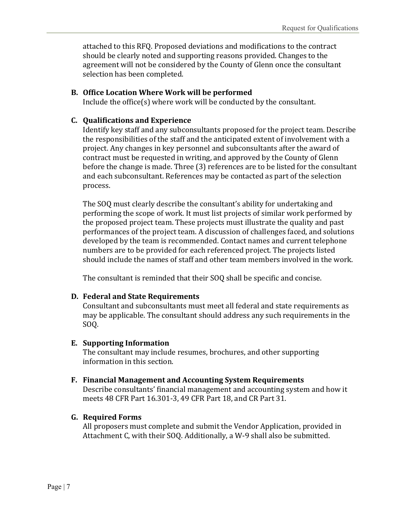attached to this RFQ. Proposed deviations and modifications to the contract should be clearly noted and supporting reasons provided. Changes to the agreement will not be considered by the County of Glenn once the consultant selection has been completed.

#### **B. Office Location Where Work will be performed**

Include the office(s) where work will be conducted by the consultant.

#### **C. Qualifications and Experience**

Identify key staff and any subconsultants proposed for the project team. Describe the responsibilities of the staff and the anticipated extent of involvement with a project. Any changes in key personnel and subconsultants after the award of contract must be requested in writing, and approved by the County of Glenn before the change is made. Three (3) references are to be listed for the consultant and each subconsultant. References may be contacted as part of the selection process.

The SOQ must clearly describe the consultant's ability for undertaking and performing the scope of work. It must list projects of similar work performed by the proposed project team. These projects must illustrate the quality and past performances of the project team. A discussion of challenges faced, and solutions developed by the team is recommended. Contact names and current telephone numbers are to be provided for each referenced project. The projects listed should include the names of staff and other team members involved in the work.

The consultant is reminded that their SOQ shall be specific and concise.

#### **D. Federal and State Requirements**

Consultant and subconsultants must meet all federal and state requirements as may be applicable. The consultant should address any such requirements in the SOQ.

#### **E. Supporting Information**

The consultant may include resumes, brochures, and other supporting information in this section.

#### **F. Financial Management and Accounting System Requirements**

Describe consultants' financial management and accounting system and how it meets 48 CFR Part 16.301-3, 49 CFR Part 18, and CR Part 31.

#### **G. Required Forms**

All proposers must complete and submit the Vendor Application, provided in Attachment C, with their SOQ. Additionally, a W-9 shall also be submitted.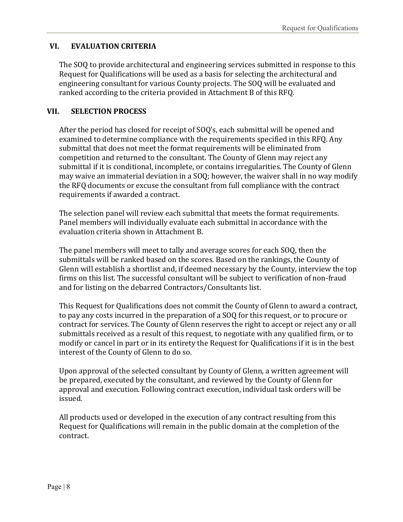#### **VI. EVALUATION CRITERIA**

The SOQ to provide architectural and engineering services submitted in response to this Request for Qualifications will be used as a basis for selecting the architectural and engineering consultant for various County projects. The SOQ will be evaluated and ranked according to the criteria provided in Attachment B of this RFQ.

#### **VII. SELECTION PROCESS**

After the period has closed for receipt of SOQ's, each submittal will be opened and examined to determine compliance with the requirements specified in this RFQ. Any submittal that does not meet the format requirements will be eliminated from competition and returned to the consultant. The County of Glenn may reject any submittal if it is conditional, incomplete, or contains irregularities. The County of Glenn may waive an immaterial deviation in a SOQ; however, the waiver shall in no way modify the RFQ documents or excuse the consultant from full compliance with the contract requirements if awarded a contract.

The selection panel will review each submittal that meets the format requirements. Panel members will individually evaluate each submittal in accordance with the evaluation criteria shown in Attachment B.

The panel members will meet to tally and average scores for each SOQ, then the submittals will be ranked based on the scores. Based on the rankings, the County of Glenn will establish a shortlist and, if deemed necessary by the County, interview the top firms on this list. The successful consultant will be subject to verification of non-fraud and for listing on the debarred Contractors/Consultants list.

This Request for Qualifications does not commit the County of Glenn to award a contract, to pay any costs incurred in the preparation of a SOQ for this request, or to procure or contract for services. The County of Glenn reserves the right to accept or reject any or all submittals received as a result of this request, to negotiate with any qualified firm, or to modify or cancel in part or in its entirety the Request for Qualifications if it is in the best interest of the County of Glenn to do so.

Upon approval of the selected consultant by County of Glenn, a written agreement will be prepared, executed by the consultant, and reviewed by the County of Glenn for approval and execution. Following contract execution, individual task orders will be issued.

All products used or developed in the execution of any contract resulting from this Request for Qualifications will remain in the public domain at the completion of the contract.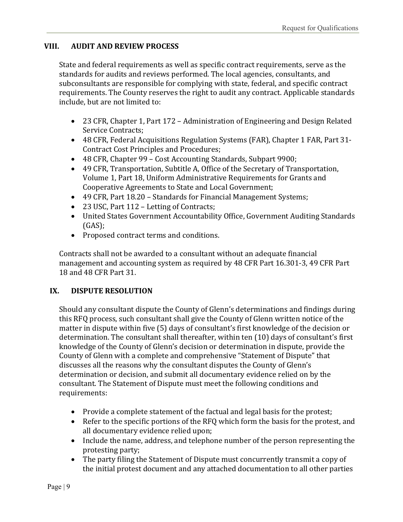#### **VIII. AUDIT AND REVIEW PROCESS**

State and federal requirements as well as specific contract requirements, serve as the standards for audits and reviews performed. The local agencies, consultants, and subconsultants are responsible for complying with state, federal, and specific contract requirements. The County reserves the right to audit any contract. Applicable standards include, but are not limited to:

- 23 CFR, Chapter 1, Part 172 Administration of Engineering and Design Related Service Contracts;
- 48 CFR, Federal Acquisitions Regulation Systems (FAR), Chapter 1 FAR, Part 31- Contract Cost Principles and Procedures;
- 48 CFR, Chapter 99 Cost Accounting Standards, Subpart 9900;
- 49 CFR, Transportation, Subtitle A, Office of the Secretary of Transportation, Volume 1, Part 18, Uniform Administrative Requirements for Grants and Cooperative Agreements to State and Local Government;
- 49 CFR, Part 18.20 Standards for Financial Management Systems;
- 23 USC, Part 112 Letting of Contracts;
- United States Government Accountability Office, Government Auditing Standards (GAS);
- Proposed contract terms and conditions.

Contracts shall not be awarded to a consultant without an adequate financial management and accounting system as required by 48 CFR Part 16.301-3, 49 CFR Part 18 and 48 CFR Part 31.

#### **IX. DISPUTE RESOLUTION**

Should any consultant dispute the County of Glenn's determinations and findings during this RFQ process, such consultant shall give the County of Glenn written notice of the matter in dispute within five (5) days of consultant's first knowledge of the decision or determination. The consultant shall thereafter, within ten (10) days of consultant's first knowledge of the County of Glenn's decision or determination in dispute, provide the County of Glenn with a complete and comprehensive "Statement of Dispute" that discusses all the reasons why the consultant disputes the County of Glenn's determination or decision, and submit all documentary evidence relied on by the consultant. The Statement of Dispute must meet the following conditions and requirements:

- Provide a complete statement of the factual and legal basis for the protest;
- Refer to the specific portions of the RFQ which form the basis for the protest, and all documentary evidence relied upon;
- Include the name, address, and telephone number of the person representing the protesting party;
- The party filing the Statement of Dispute must concurrently transmit a copy of the initial protest document and any attached documentation to all other parties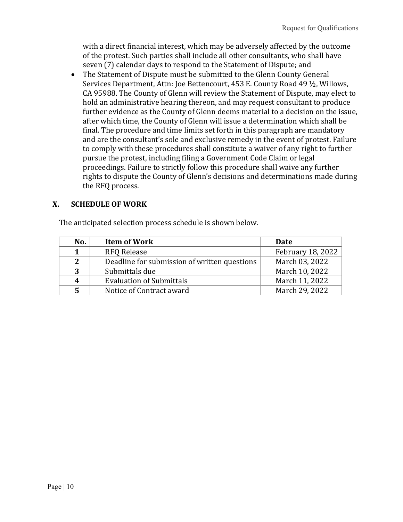with a direct financial interest, which may be adversely affected by the outcome of the protest. Such parties shall include all other consultants, who shall have seven (7) calendar days to respond to the Statement of Dispute; and

 The Statement of Dispute must be submitted to the Glenn County General Services Department, Attn: Joe Bettencourt, 453 E. County Road 49 ½, Willows, CA 95988. The County of Glenn will review the Statement of Dispute, may elect to hold an administrative hearing thereon, and may request consultant to produce further evidence as the County of Glenn deems material to a decision on the issue, after which time, the County of Glenn will issue a determination which shall be final. The procedure and time limits set forth in this paragraph are mandatory and are the consultant's sole and exclusive remedy in the event of protest. Failure to comply with these procedures shall constitute a waiver of any right to further pursue the protest, including filing a Government Code Claim or legal proceedings. Failure to strictly follow this procedure shall waive any further rights to dispute the County of Glenn's decisions and determinations made during the RFQ process.

#### **X. SCHEDULE OF WORK**

The anticipated selection process schedule is shown below.

| No. | <b>Item of Work</b>                          | Date              |
|-----|----------------------------------------------|-------------------|
| 1   | <b>RFQ Release</b>                           | February 18, 2022 |
| 2   | Deadline for submission of written questions | March 03, 2022    |
| 3   | Submittals due                               | March 10, 2022    |
| 4   | <b>Evaluation of Submittals</b>              | March 11, 2022    |
| 5   | Notice of Contract award                     | March 29, 2022    |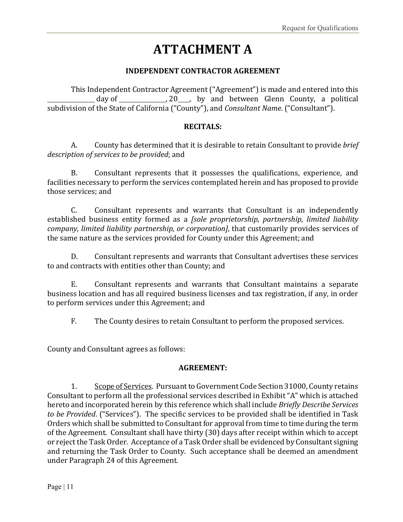# **ATTACHMENT A**

#### **INDEPENDENT CONTRACTOR AGREEMENT**

This Independent Contractor Agreement ("Agreement") is made and entered into this day of  $\frac{1}{20}$ , 20 , by and between Glenn County, a political subdivision of the State of California ("County"), and *Consultant Name*. ("Consultant").

#### **RECITALS:**

A. County has determined that it is desirable to retain Consultant to provide *brief description of services to be provided*; and

B. Consultant represents that it possesses the qualifications, experience, and facilities necessary to perform the services contemplated herein and has proposed to provide those services; and

C. Consultant represents and warrants that Consultant is an independently established business entity formed as a *[sole proprietorship, partnership, limited liability company, limited liability partnership, or corporation]*, that customarily provides services of the same nature as the services provided for County under this Agreement; and

D. Consultant represents and warrants that Consultant advertises these services to and contracts with entities other than County; and

E. Consultant represents and warrants that Consultant maintains a separate business location and has all required business licenses and tax registration, if any, in order to perform services under this Agreement; and

F. The County desires to retain Consultant to perform the proposed services.

County and Consultant agrees as follows:

#### **AGREEMENT:**

1. Scope of Services. Pursuant to Government Code Section 31000, County retains Consultant to perform all the professional services described in Exhibit "A" which is attached hereto and incorporated herein by this reference which shall include *Briefly Describe Services to be Provided*. ("Services"). The specific services to be provided shall be identified in Task Orders which shall be submitted to Consultant for approval from time to time during the term of the Agreement. Consultant shall have thirty (30) days after receipt within which to accept or reject the Task Order. Acceptance of a Task Order shall be evidenced by Consultant signing and returning the Task Order to County. Such acceptance shall be deemed an amendment under Paragraph 24 of this Agreement.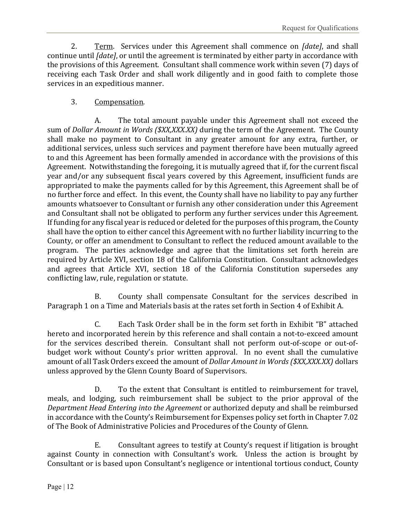2. Term. Services under this Agreement shall commence on *[date]*, and shall continue until *[date]*, or until the agreement is terminated by either party in accordance with the provisions of this Agreement. Consultant shall commence work within seven (7) days of receiving each Task Order and shall work diligently and in good faith to complete those services in an expeditious manner.

#### 3. Compensation.

A. The total amount payable under this Agreement shall not exceed the sum of *Dollar Amount in Words (\$XX,XXX.XX)* during the term of the Agreement. The County shall make no payment to Consultant in any greater amount for any extra, further, or additional services, unless such services and payment therefore have been mutually agreed to and this Agreement has been formally amended in accordance with the provisions of this Agreement. Notwithstanding the foregoing, it is mutually agreed that if, for the current fiscal year and/or any subsequent fiscal years covered by this Agreement, insufficient funds are appropriated to make the payments called for by this Agreement, this Agreement shall be of no further force and effect. In this event, the County shall have no liability to pay any further amounts whatsoever to Consultant or furnish any other consideration under this Agreement and Consultant shall not be obligated to perform any further services under this Agreement. If funding for any fiscal year is reduced or deleted for the purposes of this program, the County shall have the option to either cancel this Agreement with no further liability incurring to the County, or offer an amendment to Consultant to reflect the reduced amount available to the program. The parties acknowledge and agree that the limitations set forth herein are required by Article XVI, section 18 of the California Constitution. Consultant acknowledges and agrees that Article XVI, section 18 of the California Constitution supersedes any conflicting law, rule, regulation or statute.

B. County shall compensate Consultant for the services described in Paragraph 1 on a Time and Materials basis at the rates set forth in Section 4 of Exhibit A.

C. Each Task Order shall be in the form set forth in Exhibit "B" attached hereto and incorporated herein by this reference and shall contain a not-to-exceed amount for the services described therein. Consultant shall not perform out-of-scope or out-ofbudget work without County's prior written approval. In no event shall the cumulative amount of all Task Orders exceed the amount of *Dollar Amount in Words (\$XX,XXX.XX)* dollars unless approved by the Glenn County Board of Supervisors.

D. To the extent that Consultant is entitled to reimbursement for travel, meals, and lodging, such reimbursement shall be subject to the prior approval of the *Department Head Entering into the Agreement* or authorized deputy and shall be reimbursed in accordance with the County's Reimbursement for Expenses policy set forth in Chapter 7.02 of The Book of Administrative Policies and Procedures of the County of Glenn.

E. Consultant agrees to testify at County's request if litigation is brought against County in connection with Consultant's work. Unless the action is brought by Consultant or is based upon Consultant's negligence or intentional tortious conduct, County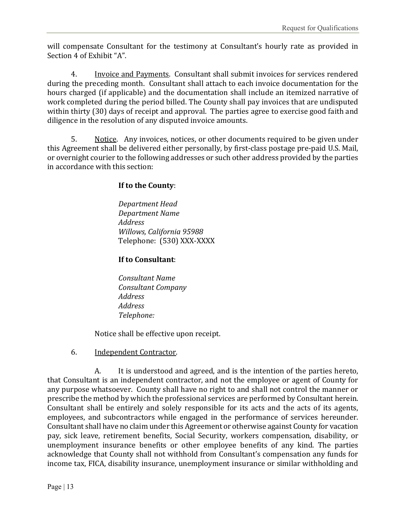will compensate Consultant for the testimony at Consultant's hourly rate as provided in Section 4 of Exhibit "A".

4. Invoice and Payments. Consultant shall submit invoices for services rendered during the preceding month. Consultant shall attach to each invoice documentation for the hours charged (if applicable) and the documentation shall include an itemized narrative of work completed during the period billed. The County shall pay invoices that are undisputed within thirty (30) days of receipt and approval. The parties agree to exercise good faith and diligence in the resolution of any disputed invoice amounts.

5. Notice. Any invoices, notices, or other documents required to be given under this Agreement shall be delivered either personally, by first-class postage pre-paid U.S. Mail, or overnight courier to the following addresses or such other address provided by the parties in accordance with this section:

#### **If to the County**:

*Department Head Department Name Address Willows, California 95988* Telephone: (530) XXX-XXXX

#### **If to Consultant**:

*Consultant Name Consultant Company Address Address Telephone:* 

Notice shall be effective upon receipt.

#### 6. Independent Contractor.

A. It is understood and agreed, and is the intention of the parties hereto, that Consultant is an independent contractor, and not the employee or agent of County for any purpose whatsoever. County shall have no right to and shall not control the manner or prescribe the method by which the professional services are performed by Consultant herein. Consultant shall be entirely and solely responsible for its acts and the acts of its agents, employees, and subcontractors while engaged in the performance of services hereunder. Consultant shall have no claim under this Agreement or otherwise against County for vacation pay, sick leave, retirement benefits, Social Security, workers compensation, disability, or unemployment insurance benefits or other employee benefits of any kind. The parties acknowledge that County shall not withhold from Consultant's compensation any funds for income tax, FICA, disability insurance, unemployment insurance or similar withholding and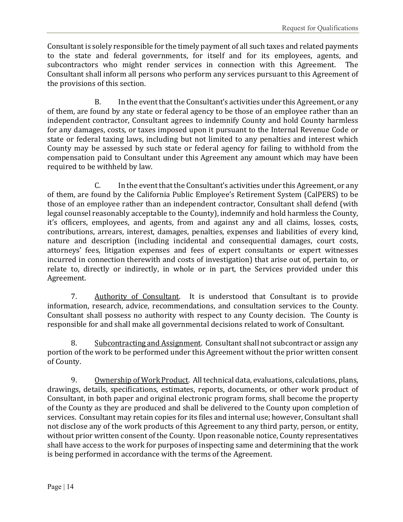Consultant is solely responsible for the timely payment of all such taxes and related payments to the state and federal governments, for itself and for its employees, agents, and subcontractors who might render services in connection with this Agreement. The Consultant shall inform all persons who perform any services pursuant to this Agreement of the provisions of this section.

B. In the event that the Consultant's activities under this Agreement, or any of them, are found by any state or federal agency to be those of an employee rather than an independent contractor, Consultant agrees to indemnify County and hold County harmless for any damages, costs, or taxes imposed upon it pursuant to the Internal Revenue Code or state or federal taxing laws, including but not limited to any penalties and interest which County may be assessed by such state or federal agency for failing to withhold from the compensation paid to Consultant under this Agreement any amount which may have been required to be withheld by law.

C. In the event that the Consultant's activities under this Agreement, or any of them, are found by the California Public Employee's Retirement System (CalPERS) to be those of an employee rather than an independent contractor, Consultant shall defend (with legal counsel reasonably acceptable to the County), indemnify and hold harmless the County, it's officers, employees, and agents, from and against any and all claims, losses, costs, contributions, arrears, interest, damages, penalties, expenses and liabilities of every kind, nature and description (including incidental and consequential damages, court costs, attorneys' fees, litigation expenses and fees of expert consultants or expert witnesses incurred in connection therewith and costs of investigation) that arise out of, pertain to, or relate to, directly or indirectly, in whole or in part, the Services provided under this Agreement.

7. Authority of Consultant. It is understood that Consultant is to provide information, research, advice, recommendations, and consultation services to the County. Consultant shall possess no authority with respect to any County decision. The County is responsible for and shall make all governmental decisions related to work of Consultant.

8. Subcontracting and Assignment. Consultant shall not subcontract or assign any portion of the work to be performed under this Agreement without the prior written consent of County.

9. Ownership of Work Product. All technical data, evaluations, calculations, plans, drawings, details, specifications, estimates, reports, documents, or other work product of Consultant, in both paper and original electronic program forms, shall become the property of the County as they are produced and shall be delivered to the County upon completion of services. Consultant may retain copies for its files and internal use; however, Consultant shall not disclose any of the work products of this Agreement to any third party, person, or entity, without prior written consent of the County. Upon reasonable notice, County representatives shall have access to the work for purposes of inspecting same and determining that the work is being performed in accordance with the terms of the Agreement.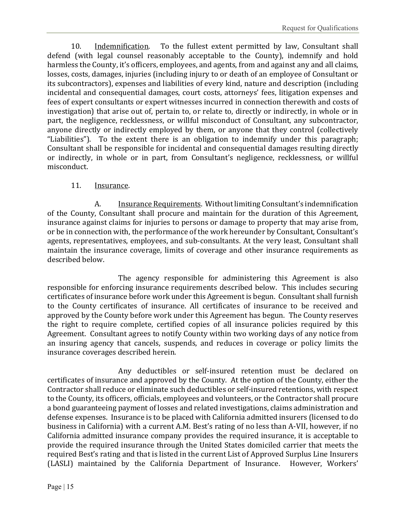10. Indemnification. To the fullest extent permitted by law, Consultant shall defend (with legal counsel reasonably acceptable to the County), indemnify and hold harmless the County, it's officers, employees, and agents, from and against any and all claims, losses, costs, damages, injuries (including injury to or death of an employee of Consultant or its subcontractors), expenses and liabilities of every kind, nature and description (including incidental and consequential damages, court costs, attorneys' fees, litigation expenses and fees of expert consultants or expert witnesses incurred in connection therewith and costs of investigation) that arise out of, pertain to, or relate to, directly or indirectly, in whole or in part, the negligence, recklessness, or willful misconduct of Consultant, any subcontractor, anyone directly or indirectly employed by them, or anyone that they control (collectively "Liabilities"). To the extent there is an obligation to indemnify under this paragraph; Consultant shall be responsible for incidental and consequential damages resulting directly or indirectly, in whole or in part, from Consultant's negligence, recklessness, or willful misconduct.

#### 11. Insurance.

A. Insurance Requirements. Without limiting Consultant's indemnification of the County, Consultant shall procure and maintain for the duration of this Agreement, insurance against claims for injuries to persons or damage to property that may arise from, or be in connection with, the performance of the work hereunder by Consultant, Consultant's agents, representatives, employees, and sub-consultants. At the very least, Consultant shall maintain the insurance coverage, limits of coverage and other insurance requirements as described below.

The agency responsible for administering this Agreement is also responsible for enforcing insurance requirements described below. This includes securing certificates of insurance before work under this Agreement is begun. Consultant shall furnish to the County certificates of insurance. All certificates of insurance to be received and approved by the County before work under this Agreement has begun. The County reserves the right to require complete, certified copies of all insurance policies required by this Agreement. Consultant agrees to notify County within two working days of any notice from an insuring agency that cancels, suspends, and reduces in coverage or policy limits the insurance coverages described herein.

Any deductibles or self-insured retention must be declared on certificates of insurance and approved by the County. At the option of the County, either the Contractor shall reduce or eliminate such deductibles or self-insured retentions, with respect to the County, its officers, officials, employees and volunteers, or the Contractor shall procure a bond guaranteeing payment of losses and related investigations, claims administration and defense expenses. Insurance is to be placed with California admitted insurers (licensed to do business in California) with a current A.M. Best's rating of no less than A-VII, however, if no California admitted insurance company provides the required insurance, it is acceptable to provide the required insurance through the United States domiciled carrier that meets the required Best's rating and that is listed in the current List of Approved Surplus Line Insurers (LASLI) maintained by the California Department of Insurance. However, Workers'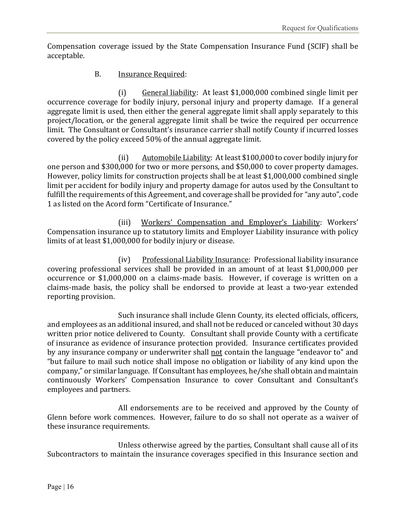Compensation coverage issued by the State Compensation Insurance Fund (SCIF) shall be acceptable.

#### B. Insurance Required:

(i) General liability: At least \$1,000,000 combined single limit per occurrence coverage for bodily injury, personal injury and property damage. If a general aggregate limit is used, then either the general aggregate limit shall apply separately to this project/location, or the general aggregate limit shall be twice the required per occurrence limit. The Consultant or Consultant's insurance carrier shall notify County if incurred losses covered by the policy exceed 50% of the annual aggregate limit.

(ii) Automobile Liability: At least \$100,000 to cover bodily injury for one person and \$300,000 for two or more persons, and \$50,000 to cover property damages. However, policy limits for construction projects shall be at least \$1,000,000 combined single limit per accident for bodily injury and property damage for autos used by the Consultant to fulfill the requirements of this Agreement, and coverage shall be provided for "any auto", code 1 as listed on the Acord form "Certificate of Insurance."

(iii) Workers' Compensation and Employer's Liability: Workers' Compensation insurance up to statutory limits and Employer Liability insurance with policy limits of at least \$1,000,000 for bodily injury or disease.

(iv) Professional Liability Insurance: Professional liability insurance covering professional services shall be provided in an amount of at least \$1,000,000 per occurrence or \$1,000,000 on a claims-made basis. However, if coverage is written on a claims-made basis, the policy shall be endorsed to provide at least a two-year extended reporting provision.

Such insurance shall include Glenn County, its elected officials, officers, and employees as an additional insured, and shall not be reduced or canceled without 30 days written prior notice delivered to County. Consultant shall provide County with a certificate of insurance as evidence of insurance protection provided. Insurance certificates provided by any insurance company or underwriter shall not contain the language "endeavor to" and "but failure to mail such notice shall impose no obligation or liability of any kind upon the company," or similar language. If Consultant has employees, he/she shall obtain and maintain continuously Workers' Compensation Insurance to cover Consultant and Consultant's employees and partners.

All endorsements are to be received and approved by the County of Glenn before work commences. However, failure to do so shall not operate as a waiver of these insurance requirements.

Unless otherwise agreed by the parties, Consultant shall cause all of its Subcontractors to maintain the insurance coverages specified in this Insurance section and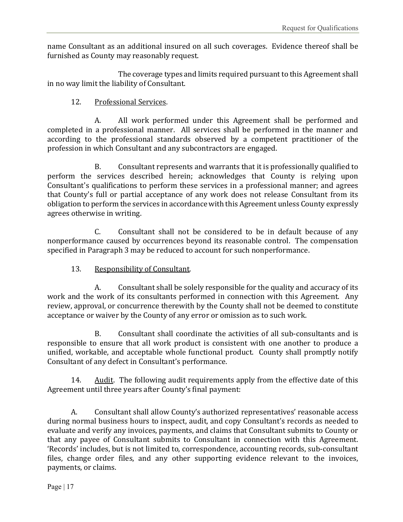name Consultant as an additional insured on all such coverages. Evidence thereof shall be furnished as County may reasonably request.

The coverage types and limits required pursuant to this Agreement shall in no way limit the liability of Consultant.

#### 12. Professional Services.

A. All work performed under this Agreement shall be performed and completed in a professional manner. All services shall be performed in the manner and according to the professional standards observed by a competent practitioner of the profession in which Consultant and any subcontractors are engaged.

B. Consultant represents and warrants that it is professionally qualified to perform the services described herein; acknowledges that County is relying upon Consultant's qualifications to perform these services in a professional manner; and agrees that County's full or partial acceptance of any work does not release Consultant from its obligation to perform the services in accordance with this Agreement unless County expressly agrees otherwise in writing.

C. Consultant shall not be considered to be in default because of any nonperformance caused by occurrences beyond its reasonable control. The compensation specified in Paragraph 3 may be reduced to account for such nonperformance.

13. Responsibility of Consultant.

A. Consultant shall be solely responsible for the quality and accuracy of its work and the work of its consultants performed in connection with this Agreement. Any review, approval, or concurrence therewith by the County shall not be deemed to constitute acceptance or waiver by the County of any error or omission as to such work.

B. Consultant shall coordinate the activities of all sub-consultants and is responsible to ensure that all work product is consistent with one another to produce a unified, workable, and acceptable whole functional product. County shall promptly notify Consultant of any defect in Consultant's performance.

14. Audit. The following audit requirements apply from the effective date of this Agreement until three years after County's final payment:

 A. Consultant shall allow County's authorized representatives' reasonable access during normal business hours to inspect, audit, and copy Consultant's records as needed to evaluate and verify any invoices, payments, and claims that Consultant submits to County or that any payee of Consultant submits to Consultant in connection with this Agreement. 'Records' includes, but is not limited to, correspondence, accounting records, sub-consultant files, change order files, and any other supporting evidence relevant to the invoices, payments, or claims.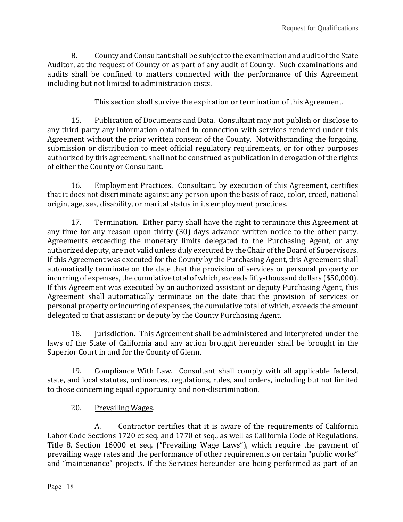B. County and Consultant shall be subject to the examination and audit of the State Auditor, at the request of County or as part of any audit of County. Such examinations and audits shall be confined to matters connected with the performance of this Agreement including but not limited to administration costs.

This section shall survive the expiration or termination of this Agreement.

15. Publication of Documents and Data. Consultant may not publish or disclose to any third party any information obtained in connection with services rendered under this Agreement without the prior written consent of the County. Notwithstanding the forgoing, submission or distribution to meet official regulatory requirements, or for other purposes authorized by this agreement, shall not be construed as publication in derogation of the rights of either the County or Consultant.

16. Employment Practices. Consultant, by execution of this Agreement, certifies that it does not discriminate against any person upon the basis of race, color, creed, national origin, age, sex, disability, or marital status in its employment practices.

17. Termination. Either party shall have the right to terminate this Agreement at any time for any reason upon thirty (30) days advance written notice to the other party. Agreements exceeding the monetary limits delegated to the Purchasing Agent, or any authorized deputy, are not valid unless duly executed by the Chair of the Board of Supervisors. If this Agreement was executed for the County by the Purchasing Agent, this Agreement shall automatically terminate on the date that the provision of services or personal property or incurring of expenses, the cumulative total of which, exceeds fifty-thousand dollars (\$50,000). If this Agreement was executed by an authorized assistant or deputy Purchasing Agent, this Agreement shall automatically terminate on the date that the provision of services or personal property or incurring of expenses, the cumulative total of which, exceeds the amount delegated to that assistant or deputy by the County Purchasing Agent.

18. Jurisdiction. This Agreement shall be administered and interpreted under the laws of the State of California and any action brought hereunder shall be brought in the Superior Court in and for the County of Glenn.

19. Compliance With Law. Consultant shall comply with all applicable federal, state, and local statutes, ordinances, regulations, rules, and orders, including but not limited to those concerning equal opportunity and non-discrimination.

#### 20. Prevailing Wages.

A. Contractor certifies that it is aware of the requirements of California Labor Code Sections 1720 et seq. and 1770 et seq., as well as California Code of Regulations, Title 8, Section 16000 et seq. ("Prevailing Wage Laws"), which require the payment of prevailing wage rates and the performance of other requirements on certain "public works" and "maintenance" projects. If the Services hereunder are being performed as part of an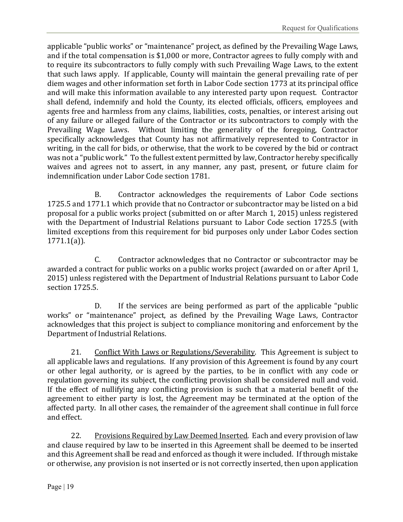applicable "public works" or "maintenance" project, as defined by the Prevailing Wage Laws, and if the total compensation is \$1,000 or more, Contractor agrees to fully comply with and to require its subcontractors to fully comply with such Prevailing Wage Laws, to the extent that such laws apply. If applicable, County will maintain the general prevailing rate of per diem wages and other information set forth in Labor Code section 1773 at its principal office and will make this information available to any interested party upon request. Contractor shall defend, indemnify and hold the County, its elected officials, officers, employees and agents free and harmless from any claims, liabilities, costs, penalties, or interest arising out of any failure or alleged failure of the Contractor or its subcontractors to comply with the Prevailing Wage Laws. Without limiting the generality of the foregoing, Contractor specifically acknowledges that County has not affirmatively represented to Contractor in writing, in the call for bids, or otherwise, that the work to be covered by the bid or contract was not a "public work." To the fullest extent permitted by law, Contractor hereby specifically waives and agrees not to assert, in any manner, any past, present, or future claim for indemnification under Labor Code section 1781.

B. Contractor acknowledges the requirements of Labor Code sections 1725.5 and 1771.1 which provide that no Contractor or subcontractor may be listed on a bid proposal for a public works project (submitted on or after March 1, 2015) unless registered with the Department of Industrial Relations pursuant to Labor Code section 1725.5 (with limited exceptions from this requirement for bid purposes only under Labor Codes section 1771.1(a)).

C. Contractor acknowledges that no Contractor or subcontractor may be awarded a contract for public works on a public works project (awarded on or after April 1, 2015) unless registered with the Department of Industrial Relations pursuant to Labor Code section 1725.5.

D. If the services are being performed as part of the applicable "public works" or "maintenance" project, as defined by the Prevailing Wage Laws, Contractor acknowledges that this project is subject to compliance monitoring and enforcement by the Department of Industrial Relations.

21. Conflict With Laws or Regulations/Severability. This Agreement is subject to all applicable laws and regulations. If any provision of this Agreement is found by any court or other legal authority, or is agreed by the parties, to be in conflict with any code or regulation governing its subject, the conflicting provision shall be considered null and void. If the effect of nullifying any conflicting provision is such that a material benefit of the agreement to either party is lost, the Agreement may be terminated at the option of the affected party. In all other cases, the remainder of the agreement shall continue in full force and effect.

22. Provisions Required by Law Deemed Inserted. Each and every provision of law and clause required by law to be inserted in this Agreement shall be deemed to be inserted and this Agreement shall be read and enforced as though it were included. If through mistake or otherwise, any provision is not inserted or is not correctly inserted, then upon application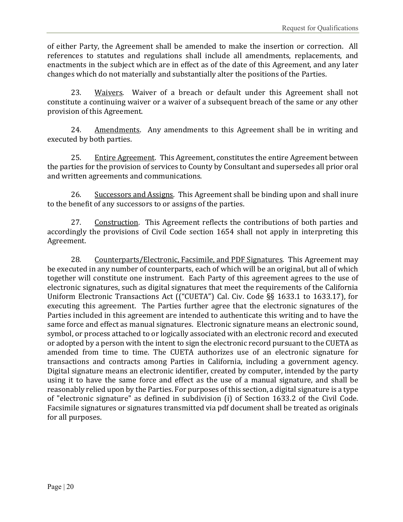of either Party, the Agreement shall be amended to make the insertion or correction. All references to statutes and regulations shall include all amendments, replacements, and enactments in the subject which are in effect as of the date of this Agreement, and any later changes which do not materially and substantially alter the positions of the Parties.

23. Waivers. Waiver of a breach or default under this Agreement shall not constitute a continuing waiver or a waiver of a subsequent breach of the same or any other provision of this Agreement.

24. Amendments. Any amendments to this Agreement shall be in writing and executed by both parties.

25. Entire Agreement. This Agreement, constitutes the entire Agreement between the parties for the provision of services to County by Consultant and supersedes all prior oral and written agreements and communications.

26. Successors and Assigns. This Agreement shall be binding upon and shall inure to the benefit of any successors to or assigns of the parties.

27. Construction. This Agreement reflects the contributions of both parties and accordingly the provisions of Civil Code section 1654 shall not apply in interpreting this Agreement.

28. Counterparts/Electronic, Facsimile, and PDF Signatures. This Agreement may be executed in any number of counterparts, each of which will be an original, but all of which together will constitute one instrument. Each Party of this agreement agrees to the use of electronic signatures, such as digital signatures that meet the requirements of the California Uniform Electronic Transactions Act (("CUETA") Cal. Civ. Code §§ 1633.1 to 1633.17), for executing this agreement. The Parties further agree that the electronic signatures of the Parties included in this agreement are intended to authenticate this writing and to have the same force and effect as manual signatures. Electronic signature means an electronic sound, symbol, or process attached to or logically associated with an electronic record and executed or adopted by a person with the intent to sign the electronic record pursuant to the CUETA as amended from time to time. The CUETA authorizes use of an electronic signature for transactions and contracts among Parties in California, including a government agency. Digital signature means an electronic identifier, created by computer, intended by the party using it to have the same force and effect as the use of a manual signature, and shall be reasonably relied upon by the Parties. For purposes of this section, a digital signature is a type of "electronic signature" as defined in subdivision (i) of Section 1633.2 of the Civil Code. Facsimile signatures or signatures transmitted via pdf document shall be treated as originals for all purposes.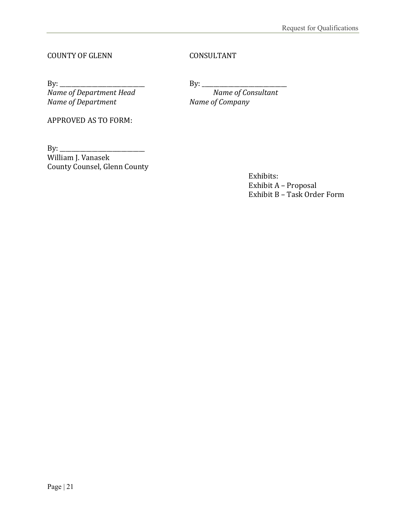#### COUNTY OF GLENN CONSULTANT

By: \_\_\_\_\_\_\_\_\_\_\_\_\_\_\_\_\_\_\_\_\_\_\_\_\_\_\_\_\_ By: \_\_\_\_\_\_\_\_\_\_\_\_\_\_\_\_\_\_\_\_\_\_\_\_\_\_\_\_\_ *Name of Department Head Name of Consultant Name of Department Name of Company*

APPROVED AS TO FORM:

By: \_\_\_\_\_\_\_\_\_\_\_\_\_\_\_\_\_\_\_\_\_\_\_\_\_\_\_\_\_ William J. Vanasek County Counsel, Glenn County

> Exhibits: Exhibit A – Proposal Exhibit B – Task Order Form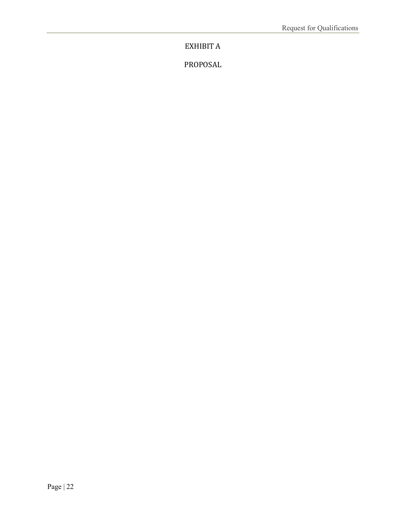EXHIBIT A

PROPOSAL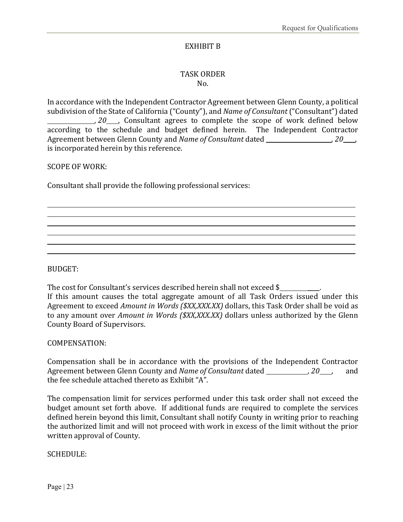#### EXHIBIT B

#### TASK ORDER No.

In accordance with the Independent Contractor Agreement between Glenn County, a political subdivision of the State of California ("County"), and *Name of Consultant* ("Consultant") dated *20* , Consultant agrees to complete the scope of work defined below according to the schedule and budget defined herein. The Independent Contractor Agreement between Glenn County and *Name of Consultant* dated *, 20* , is incorporated herein by this reference.

SCOPE OF WORK:

Consultant shall provide the following professional services:

BUDGET:

The cost for Consultant's services described herein shall not exceed \$ If this amount causes the total aggregate amount of all Task Orders issued under this Agreement to exceed *Amount in Words (\$XX,XXX.XX)* dollars, this Task Order shall be void as to any amount over *Amount in Words (\$XX,XXX.XX)* dollars unless authorized by the Glenn County Board of Supervisors.

#### COMPENSATION:

Compensation shall be in accordance with the provisions of the Independent Contractor Agreement between Glenn County and *Name of Consultant* dated \_\_\_\_\_\_\_\_\_\_\_\_\_\_, 20\_\_\_\_, and the fee schedule attached thereto as Exhibit "A".

The compensation limit for services performed under this task order shall not exceed the budget amount set forth above. If additional funds are required to complete the services defined herein beyond this limit, Consultant shall notify County in writing prior to reaching the authorized limit and will not proceed with work in excess of the limit without the prior written approval of County.

SCHEDULE: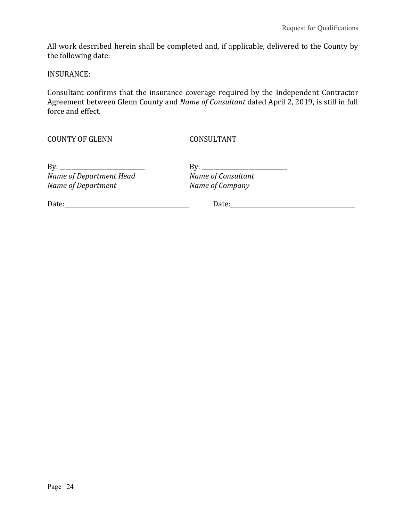All work described herein shall be completed and, if applicable, delivered to the County by the following date:

INSURANCE:

Consultant confirms that the insurance coverage required by the Independent Contractor Agreement between Glenn County and *Name of Consultant* dated April 2, 2019, is still in full force and effect.

COUNTY OF GLENN CONSULTANT

| By:                     | Bv:                |  |  |
|-------------------------|--------------------|--|--|
| Name of Department Head | Name of Consultant |  |  |
| Name of Department      | Name of Company    |  |  |

By: \_\_\_\_\_\_\_\_\_\_\_\_\_\_\_\_\_\_\_\_\_\_\_\_\_\_\_\_\_ By: \_\_\_\_\_\_\_\_\_\_\_\_\_\_\_\_\_\_\_\_\_\_\_\_\_\_\_\_\_ *Name of Department Head Name of Consultant*

Date: Date: Date: Date: Date: Date: Date: Date: Date: Date: Date: Date: Date: Date: Date: Date: Date: Date: Date: Date: Date: Date: Date: Date: Date: Date: Date: Date: Date: Date: Date: Date: Date: Date: Date: Date: Date: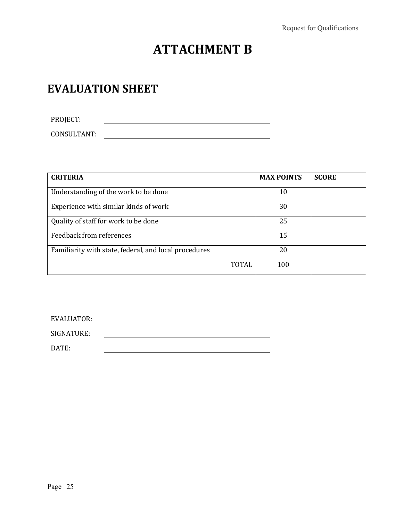# **ATTACHMENT B**

### **EVALUATION SHEET**

PROJECT: CONSULTANT:

| <b>CRITERIA</b>                                       |              | <b>MAX POINTS</b> | <b>SCORE</b> |
|-------------------------------------------------------|--------------|-------------------|--------------|
| Understanding of the work to be done                  |              | 10                |              |
| Experience with similar kinds of work                 |              | 30                |              |
| Quality of staff for work to be done                  |              | 25                |              |
| Feedback from references                              |              | 15                |              |
| Familiarity with state, federal, and local procedures |              | 20                |              |
|                                                       | <b>TOTAL</b> | 100               |              |

| EVALUATOR: |  |  |
|------------|--|--|
| SIGNATURE: |  |  |
|            |  |  |
| DATE:      |  |  |
|            |  |  |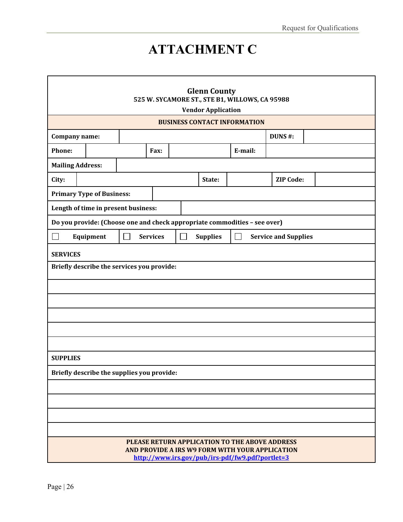# **ATTACHMENT C**

| <b>Glenn County</b><br>525 W. SYCAMORE ST., STE B1, WILLOWS, CA 95988<br><b>Vendor Application</b>                                                    |           |        |                 |                   |                 |                                                                           |                             |  |
|-------------------------------------------------------------------------------------------------------------------------------------------------------|-----------|--------|-----------------|-------------------|-----------------|---------------------------------------------------------------------------|-----------------------------|--|
|                                                                                                                                                       |           |        |                 |                   |                 | <b>BUSINESS CONTACT INFORMATION</b>                                       |                             |  |
| <b>Company name:</b>                                                                                                                                  |           |        |                 |                   |                 |                                                                           | DUNS#:                      |  |
| Phone:                                                                                                                                                |           |        | Fax:            |                   |                 | E-mail:                                                                   |                             |  |
| <b>Mailing Address:</b>                                                                                                                               |           |        |                 |                   |                 |                                                                           |                             |  |
| City:                                                                                                                                                 |           |        |                 |                   | State:          |                                                                           | <b>ZIP Code:</b>            |  |
| <b>Primary Type of Business:</b>                                                                                                                      |           |        |                 |                   |                 |                                                                           |                             |  |
| Length of time in present business:                                                                                                                   |           |        |                 |                   |                 |                                                                           |                             |  |
|                                                                                                                                                       |           |        |                 |                   |                 | Do you provide: (Choose one and check appropriate commodities - see over) |                             |  |
| $\Box$                                                                                                                                                | Equipment | $\sim$ | <b>Services</b> | $\vert \ \ \vert$ | <b>Supplies</b> | $\mathcal{L}$                                                             | <b>Service and Supplies</b> |  |
| <b>SERVICES</b>                                                                                                                                       |           |        |                 |                   |                 |                                                                           |                             |  |
| Briefly describe the services you provide:                                                                                                            |           |        |                 |                   |                 |                                                                           |                             |  |
|                                                                                                                                                       |           |        |                 |                   |                 |                                                                           |                             |  |
|                                                                                                                                                       |           |        |                 |                   |                 |                                                                           |                             |  |
|                                                                                                                                                       |           |        |                 |                   |                 |                                                                           |                             |  |
|                                                                                                                                                       |           |        |                 |                   |                 |                                                                           |                             |  |
|                                                                                                                                                       |           |        |                 |                   |                 |                                                                           |                             |  |
| <b>SUPPLIES</b>                                                                                                                                       |           |        |                 |                   |                 |                                                                           |                             |  |
| Briefly describe the supplies you provide:                                                                                                            |           |        |                 |                   |                 |                                                                           |                             |  |
|                                                                                                                                                       |           |        |                 |                   |                 |                                                                           |                             |  |
|                                                                                                                                                       |           |        |                 |                   |                 |                                                                           |                             |  |
|                                                                                                                                                       |           |        |                 |                   |                 |                                                                           |                             |  |
|                                                                                                                                                       |           |        |                 |                   |                 |                                                                           |                             |  |
| PLEASE RETURN APPLICATION TO THE ABOVE ADDRESS<br>AND PROVIDE A IRS W9 FORM WITH YOUR APPLICATION<br>http://www.irs.gov/pub/irs-pdf/fw9.pdf?portlet=3 |           |        |                 |                   |                 |                                                                           |                             |  |